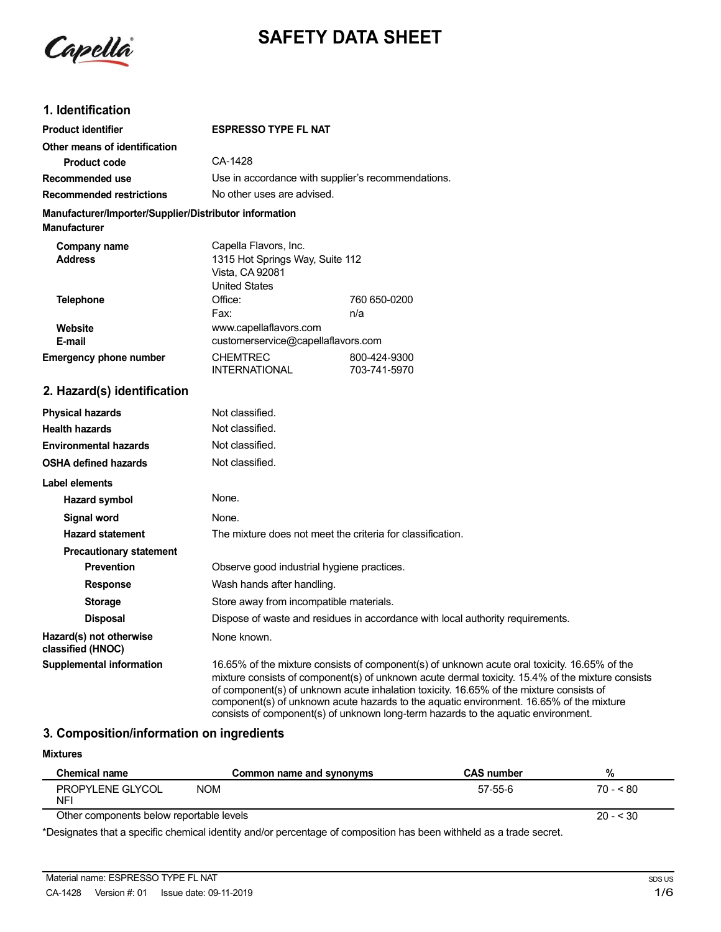Capella

# **SAFETY DATA SHEET**

## **1. Identification**

| <b>Product identifier</b>                                                     | <b>ESPRESSO TYPE FL NAT</b>                                                                                                             |                     |  |  |
|-------------------------------------------------------------------------------|-----------------------------------------------------------------------------------------------------------------------------------------|---------------------|--|--|
| Other means of identification                                                 |                                                                                                                                         |                     |  |  |
| Product code                                                                  | CA-1428                                                                                                                                 |                     |  |  |
| Recommended use                                                               | Use in accordance with supplier's recommendations.                                                                                      |                     |  |  |
| <b>Recommended restrictions</b>                                               | No other uses are advised.                                                                                                              |                     |  |  |
| Manufacturer/Importer/Supplier/Distributor information<br><b>Manufacturer</b> |                                                                                                                                         |                     |  |  |
| Company name<br><b>Address</b>                                                | Capella Flavors, Inc.<br>1315 Hot Springs Way, Suite 112<br>Vista, CA 92081<br><b>United States</b>                                     |                     |  |  |
| <b>Telephone</b>                                                              | Office:<br>Fax:                                                                                                                         | 760 650-0200<br>n/a |  |  |
| <b>Website</b><br>E-mail<br><b>Emergency phone number</b>                     | www.capellaflavors.com<br>customerservice@capellaflavors.com<br><b>CHEMTREC</b><br>800-424-9300<br><b>INTERNATIONAL</b><br>703-741-5970 |                     |  |  |
| 2. Hazard(s) identification                                                   |                                                                                                                                         |                     |  |  |
| <b>Physical hazards</b>                                                       | Not classified.                                                                                                                         |                     |  |  |
| <b>Health hazards</b>                                                         | Not classified.                                                                                                                         |                     |  |  |
| <b>Environmental hazards</b>                                                  | Not classified.                                                                                                                         |                     |  |  |
| <b>OSHA defined hazards</b>                                                   | Not classified.                                                                                                                         |                     |  |  |
| <b>Label elements</b>                                                         |                                                                                                                                         |                     |  |  |
| Hazard symbol                                                                 | None.                                                                                                                                   |                     |  |  |
| <b>Signal word</b>                                                            | None.                                                                                                                                   |                     |  |  |
| <b>Hazard statement</b>                                                       | The mixture does not meet the criteria for classification.                                                                              |                     |  |  |
| <b>Precautionary statement</b>                                                |                                                                                                                                         |                     |  |  |
|                                                                               |                                                                                                                                         |                     |  |  |

**Prevention CODE OBSERVE GOOD Industrial hygiene practices. Response** Wash hands after handling. **Storage** Store away from incompatible materials. **Disposal State 20 Dispose of waste and residues in accordance with local authority requirements. Hazard(s) not otherwise** None known. **classified (HNOC) Supplemental information** 16.65% of the mixture consists of component(s) of unknown acute oral toxicity. 16.65% of the mixture consists of component(s) of unknown acute dermal toxicity. 15.4% of the mixture consists of component(s) of unknown acute inhalation toxicity. 16.65% of the mixture consists of

#### **3. Composition/information on ingredients**

| <b>Mixtures</b>                          |                                                                                                                    |                   |           |
|------------------------------------------|--------------------------------------------------------------------------------------------------------------------|-------------------|-----------|
| Chemical name                            | Common name and synonyms                                                                                           | <b>CAS number</b> | %         |
| PROPYLENE GLYCOL<br>NFI                  | <b>NOM</b>                                                                                                         | 57-55-6           | $70 - 80$ |
| Other components below reportable levels |                                                                                                                    |                   | $20 - 30$ |
|                                          | *Designates that a coactive despited identity and/announcements of acompatitor has been withheld as a trade acoust |                   |           |

component(s) of unknown acute hazards to the aquatic environment. 16.65% of the mixture consists of component(s) of unknown long-term hazards to the aquatic environment.

\*Designates that a specific chemical identity and/or percentage of composition has been withheld as a trade secret.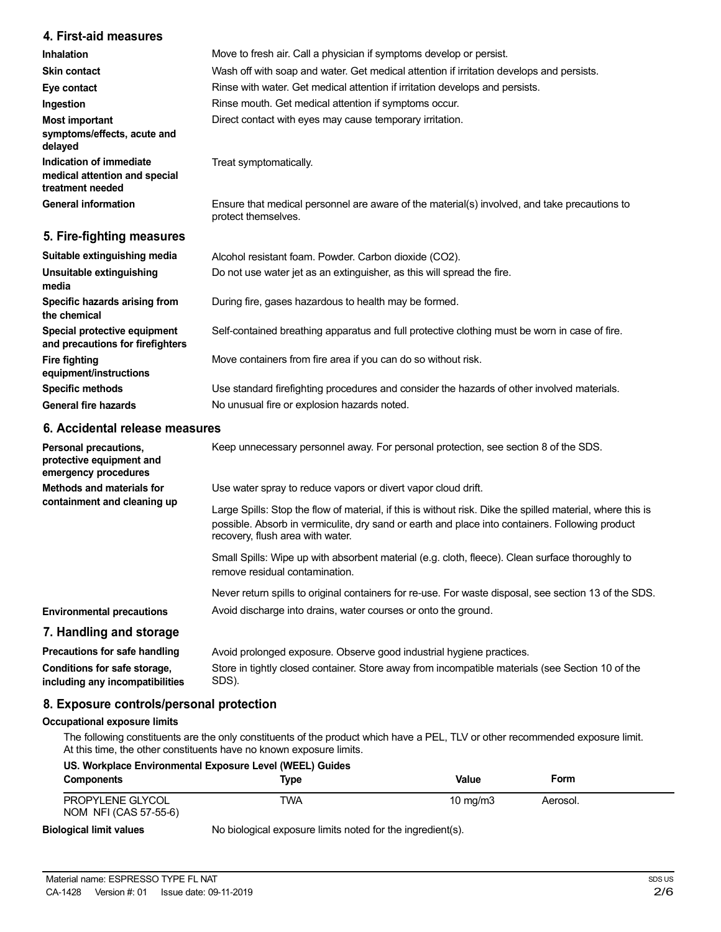### **4. First-aid measures**

| Inhalation                                                                   | Move to fresh air. Call a physician if symptoms develop or persist.                                                 |
|------------------------------------------------------------------------------|---------------------------------------------------------------------------------------------------------------------|
| <b>Skin contact</b>                                                          | Wash off with soap and water. Get medical attention if irritation develops and persists.                            |
| Eye contact                                                                  | Rinse with water. Get medical attention if irritation develops and persists.                                        |
| Ingestion                                                                    | Rinse mouth. Get medical attention if symptoms occur.                                                               |
| Most important<br>symptoms/effects, acute and<br>delayed                     | Direct contact with eyes may cause temporary irritation.                                                            |
| Indication of immediate<br>medical attention and special<br>treatment needed | Treat symptomatically.                                                                                              |
| <b>General information</b>                                                   | Ensure that medical personnel are aware of the material(s) involved, and take precautions to<br>protect themselves. |
| 5. Fire-fighting measures                                                    |                                                                                                                     |

| Suitable extinguishing media                                     | Alcohol resistant foam. Powder. Carbon dioxide (CO2).                                         |
|------------------------------------------------------------------|-----------------------------------------------------------------------------------------------|
| Unsuitable extinguishing<br>media                                | Do not use water jet as an extinguisher, as this will spread the fire.                        |
| Specific hazards arising from<br>the chemical                    | During fire, gases hazardous to health may be formed.                                         |
| Special protective equipment<br>and precautions for firefighters | Self-contained breathing apparatus and full protective clothing must be worn in case of fire. |
| <b>Fire fighting</b><br>equipment/instructions                   | Move containers from fire area if you can do so without risk.                                 |
| <b>Specific methods</b>                                          | Use standard firefighting procedures and consider the hazards of other involved materials.    |
| <b>General fire hazards</b>                                      | No unusual fire or explosion hazards noted.                                                   |
|                                                                  |                                                                                               |

## **6. Accidental release measures**

| Personal precautions,<br>protective equipment and<br>emergency procedures                                                                                                    | Keep unnecessary personnel away. For personal protection, see section 8 of the SDS.                                                                                                                                                               |
|------------------------------------------------------------------------------------------------------------------------------------------------------------------------------|---------------------------------------------------------------------------------------------------------------------------------------------------------------------------------------------------------------------------------------------------|
| Methods and materials for<br>containment and cleaning up                                                                                                                     | Use water spray to reduce vapors or divert vapor cloud drift.                                                                                                                                                                                     |
|                                                                                                                                                                              | Large Spills: Stop the flow of material, if this is without risk. Dike the spilled material, where this is<br>possible. Absorb in vermiculite, dry sand or earth and place into containers. Following product<br>recovery, flush area with water. |
|                                                                                                                                                                              | Small Spills: Wipe up with absorbent material (e.g. cloth, fleece). Clean surface thoroughly to<br>remove residual contamination.                                                                                                                 |
|                                                                                                                                                                              | Never return spills to original containers for re-use. For waste disposal, see section 13 of the SDS.                                                                                                                                             |
| <b>Environmental precautions</b>                                                                                                                                             | Avoid discharge into drains, water courses or onto the ground.                                                                                                                                                                                    |
| 7. Handling and storage                                                                                                                                                      |                                                                                                                                                                                                                                                   |
| Precautions for safe handling                                                                                                                                                | Avoid prolonged exposure. Observe good industrial hygiene practices.                                                                                                                                                                              |
| Store in tightly closed container. Store away from incompatible materials (see Section 10 of the<br>Conditions for safe storage,<br>SDS).<br>including any incompatibilities |                                                                                                                                                                                                                                                   |

## **8. Exposure controls/personal protection**

#### **Occupational exposure limits**

The following constituents are the only constituents of the product which have a PEL, TLV or other recommended exposure limit. At this time, the other constituents have no known exposure limits.

| US. Workplace Environmental Exposure Level (WEEL) Guides |                                                                             |                     |          |  |
|----------------------------------------------------------|-----------------------------------------------------------------------------|---------------------|----------|--|
| <b>Components</b>                                        | Type                                                                        | Value               | Form     |  |
| PROPYLENE GLYCOL<br>NOM NFI (CAS 57-55-6)                | TWA                                                                         | $10 \text{ ma/m}$ 3 | Aerosol. |  |
| المتحادث والمحادث فالتحميل والمتحدث والمتحاد والمتار     | All the book of the complete the first control from the theory district (A) |                     |          |  |

**Biological limit values**

No biological exposure limits noted for the ingredient(s).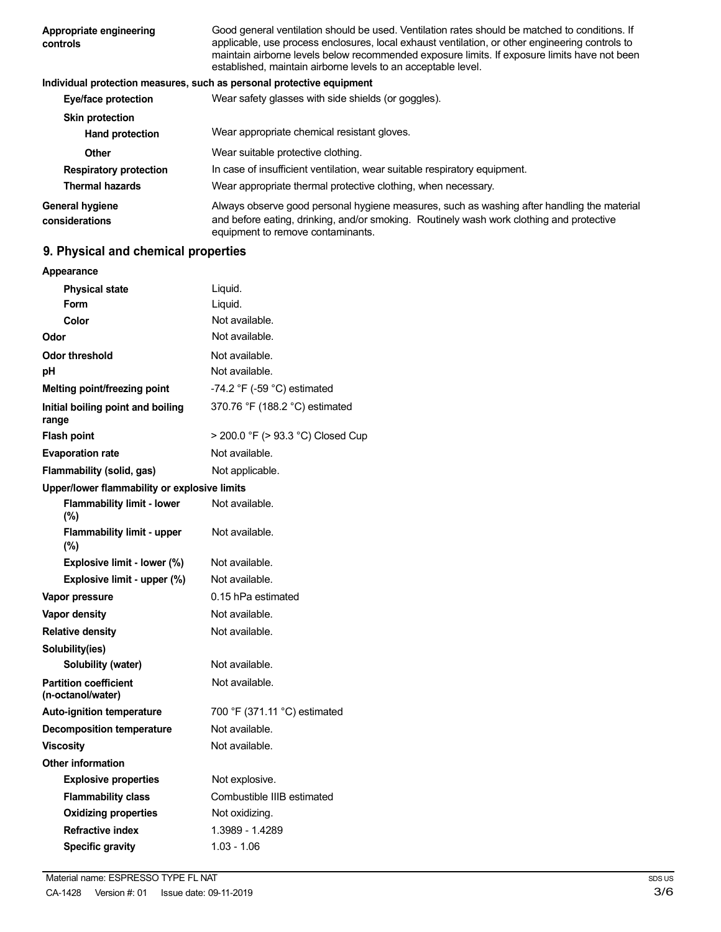| Appropriate engineering<br>controls | Good general ventilation should be used. Ventilation rates should be matched to conditions. If<br>applicable, use process enclosures, local exhaust ventilation, or other engineering controls to<br>maintain airborne levels below recommended exposure limits. If exposure limits have not been<br>established, maintain airborne levels to an acceptable level. |
|-------------------------------------|--------------------------------------------------------------------------------------------------------------------------------------------------------------------------------------------------------------------------------------------------------------------------------------------------------------------------------------------------------------------|
|                                     | Individual protection measures, such as personal protective equipment                                                                                                                                                                                                                                                                                              |
| Eye/face protection                 | Wear safety glasses with side shields (or goggles).                                                                                                                                                                                                                                                                                                                |
| <b>Skin protection</b>              |                                                                                                                                                                                                                                                                                                                                                                    |
| <b>Hand protection</b>              | Wear appropriate chemical resistant gloves.                                                                                                                                                                                                                                                                                                                        |
| <b>Other</b>                        | Wear suitable protective clothing.                                                                                                                                                                                                                                                                                                                                 |
| <b>Respiratory protection</b>       | In case of insufficient ventilation, wear suitable respiratory equipment.                                                                                                                                                                                                                                                                                          |
| <b>Thermal hazards</b>              | Wear appropriate thermal protective clothing, when necessary.                                                                                                                                                                                                                                                                                                      |
| General hygiene<br>considerations   | Always observe good personal hygiene measures, such as washing after handling the material<br>and before eating, drinking, and/or smoking. Routinely wash work clothing and protective<br>equipment to remove contaminants.                                                                                                                                        |

# **9. Physical and chemical properties**

| Appearance                                        |                                   |
|---------------------------------------------------|-----------------------------------|
| <b>Physical state</b>                             | Liquid.                           |
| Form                                              | Liquid.                           |
| Color                                             | Not available.                    |
| Odor                                              | Not available.                    |
| Odor threshold                                    | Not available.                    |
| рH                                                | Not available.                    |
| Melting point/freezing point                      | -74.2 °F (-59 °C) estimated       |
| Initial boiling point and boiling<br>range        | 370.76 °F (188.2 °C) estimated    |
| <b>Flash point</b>                                | > 200.0 °F (> 93.3 °C) Closed Cup |
| <b>Evaporation rate</b>                           | Not available.                    |
| Flammability (solid, gas)                         | Not applicable.                   |
| Upper/lower flammability or explosive limits      |                                   |
| <b>Flammability limit - lower</b><br>$(\%)$       | Not available.                    |
| Flammability limit - upper<br>(%)                 | Not available.                    |
| Explosive limit - lower (%)                       | Not available.                    |
| Explosive limit - upper (%)                       | Not available.                    |
| Vapor pressure                                    | 0.15 hPa estimated                |
| <b>Vapor density</b>                              | Not available.                    |
| <b>Relative density</b>                           | Not available.                    |
| Solubility(ies)                                   |                                   |
| Solubility (water)                                | Not available.                    |
| <b>Partition coefficient</b><br>(n-octanol/water) | Not available.                    |
| <b>Auto-ignition temperature</b>                  | 700 °F (371.11 °C) estimated      |
| <b>Decomposition temperature</b>                  | Not available.                    |
| <b>Viscosity</b>                                  | Not available.                    |
| <b>Other information</b>                          |                                   |
| <b>Explosive properties</b>                       | Not explosive.                    |
| <b>Flammability class</b>                         | Combustible IIIB estimated        |
| <b>Oxidizing properties</b>                       | Not oxidizing.                    |
| <b>Refractive index</b>                           | 1.3989 - 1.4289                   |
| <b>Specific gravity</b>                           | $1.03 - 1.06$                     |
|                                                   |                                   |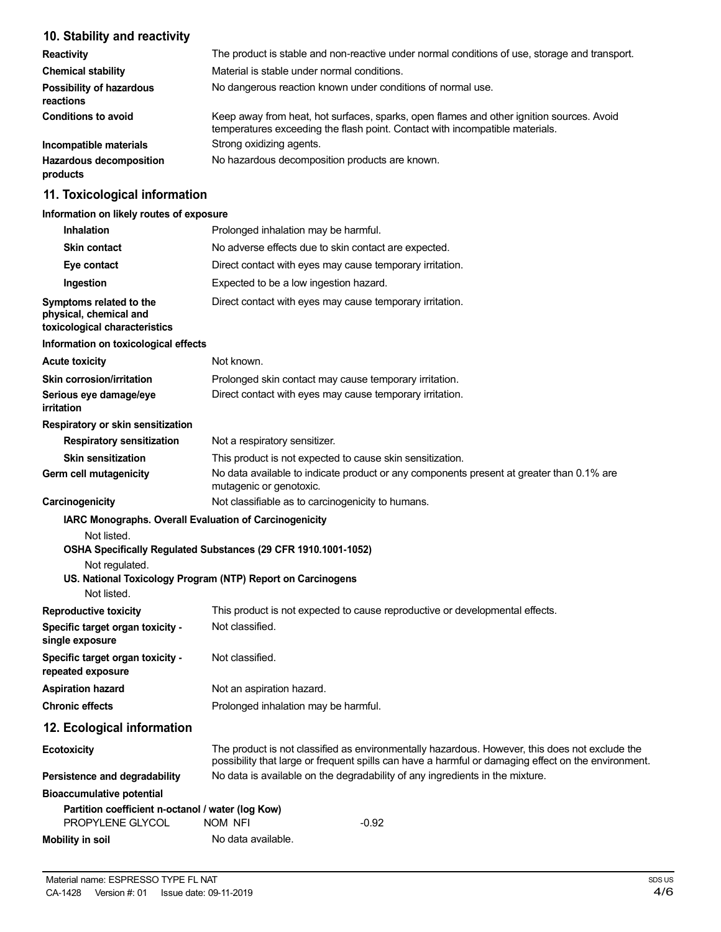# **10. Stability and reactivity**

| <b>Reactivity</b>                            | The product is stable and non-reactive under normal conditions of use, storage and transport.                                                                            |
|----------------------------------------------|--------------------------------------------------------------------------------------------------------------------------------------------------------------------------|
| <b>Chemical stability</b>                    | Material is stable under normal conditions.                                                                                                                              |
| <b>Possibility of hazardous</b><br>reactions | No dangerous reaction known under conditions of normal use.                                                                                                              |
| <b>Conditions to avoid</b>                   | Keep away from heat, hot surfaces, sparks, open flames and other ignition sources. Avoid<br>temperatures exceeding the flash point. Contact with incompatible materials. |
| Incompatible materials                       | Strong oxidizing agents.                                                                                                                                                 |
| <b>Hazardous decomposition</b><br>products   | No hazardous decomposition products are known.                                                                                                                           |

## **11. Toxicological information**

## **Information on likely routes of exposure**

| <b>Inhalation</b>                                                                                      | Prolonged inhalation may be harmful.                                                                                                                                                                  |
|--------------------------------------------------------------------------------------------------------|-------------------------------------------------------------------------------------------------------------------------------------------------------------------------------------------------------|
| <b>Skin contact</b>                                                                                    | No adverse effects due to skin contact are expected.                                                                                                                                                  |
| Eye contact                                                                                            | Direct contact with eyes may cause temporary irritation.                                                                                                                                              |
| Ingestion                                                                                              | Expected to be a low ingestion hazard.                                                                                                                                                                |
| Symptoms related to the<br>physical, chemical and<br>toxicological characteristics                     | Direct contact with eyes may cause temporary irritation.                                                                                                                                              |
| Information on toxicological effects                                                                   |                                                                                                                                                                                                       |
| <b>Acute toxicity</b>                                                                                  | Not known.                                                                                                                                                                                            |
| <b>Skin corrosion/irritation</b><br>Serious eye damage/eye<br>irritation                               | Prolonged skin contact may cause temporary irritation.<br>Direct contact with eyes may cause temporary irritation.                                                                                    |
| Respiratory or skin sensitization                                                                      |                                                                                                                                                                                                       |
| <b>Respiratory sensitization</b>                                                                       | Not a respiratory sensitizer.                                                                                                                                                                         |
| <b>Skin sensitization</b>                                                                              | This product is not expected to cause skin sensitization.                                                                                                                                             |
| Germ cell mutagenicity                                                                                 | No data available to indicate product or any components present at greater than 0.1% are<br>mutagenic or genotoxic.                                                                                   |
| Carcinogenicity                                                                                        | Not classifiable as to carcinogenicity to humans.                                                                                                                                                     |
| IARC Monographs. Overall Evaluation of Carcinogenicity<br>Not listed.<br>Not regulated.<br>Not listed. | OSHA Specifically Regulated Substances (29 CFR 1910.1001-1052)<br>US. National Toxicology Program (NTP) Report on Carcinogens                                                                         |
| <b>Reproductive toxicity</b>                                                                           | This product is not expected to cause reproductive or developmental effects.                                                                                                                          |
| Specific target organ toxicity -<br>single exposure                                                    | Not classified.                                                                                                                                                                                       |
| Specific target organ toxicity -<br>repeated exposure                                                  | Not classified.                                                                                                                                                                                       |
| <b>Aspiration hazard</b>                                                                               | Not an aspiration hazard.                                                                                                                                                                             |
| <b>Chronic effects</b>                                                                                 | Prolonged inhalation may be harmful.                                                                                                                                                                  |
| 12. Ecological information                                                                             |                                                                                                                                                                                                       |
| <b>Ecotoxicity</b>                                                                                     | The product is not classified as environmentally hazardous. However, this does not exclude the<br>possibility that large or frequent spills can have a harmful or damaging effect on the environment. |
| Persistence and degradability                                                                          | No data is available on the degradability of any ingredients in the mixture.                                                                                                                          |
| <b>Bioaccumulative potential</b>                                                                       |                                                                                                                                                                                                       |
| Partition coefficient n-octanol / water (log Kow)<br>PROPYLENE GLYCOL                                  | $-0.92$<br>NOM NFI                                                                                                                                                                                    |
| <b>Mobility in soil</b>                                                                                | No data available.                                                                                                                                                                                    |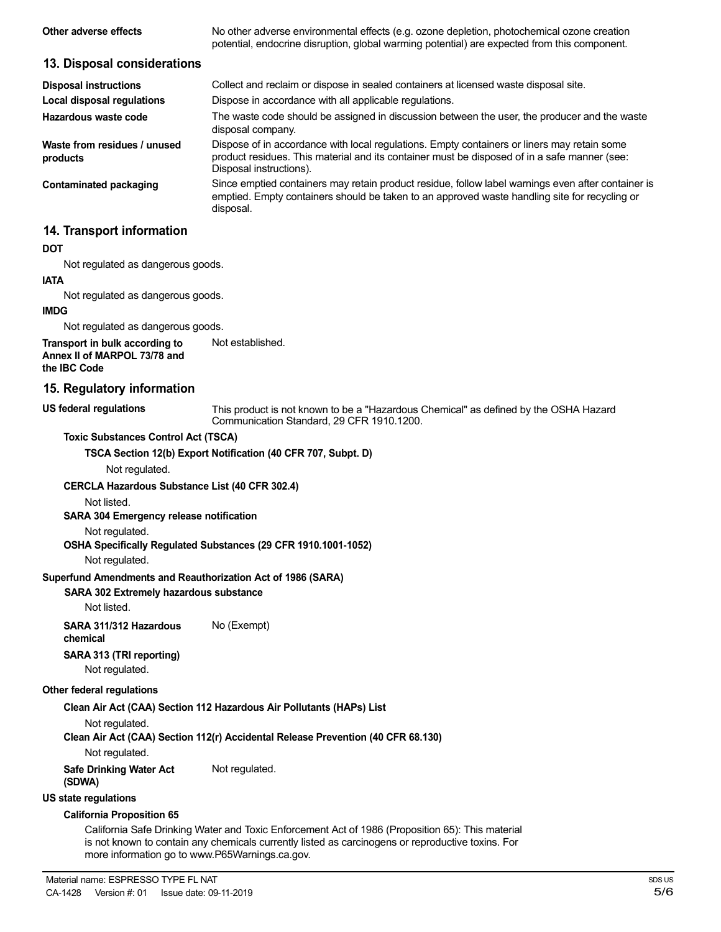| Other adverse effects                                                          | No other adverse environmental effects (e.g. ozone depletion, photochemical ozone creation<br>potential, endocrine disruption, global warming potential) are expected from this component.                             |
|--------------------------------------------------------------------------------|------------------------------------------------------------------------------------------------------------------------------------------------------------------------------------------------------------------------|
| 13. Disposal considerations                                                    |                                                                                                                                                                                                                        |
| <b>Disposal instructions</b>                                                   | Collect and reclaim or dispose in sealed containers at licensed waste disposal site.                                                                                                                                   |
| Local disposal regulations                                                     | Dispose in accordance with all applicable regulations.                                                                                                                                                                 |
| Hazardous waste code                                                           | The waste code should be assigned in discussion between the user, the producer and the waste<br>disposal company.                                                                                                      |
| Waste from residues / unused<br>products                                       | Dispose of in accordance with local regulations. Empty containers or liners may retain some<br>product residues. This material and its container must be disposed of in a safe manner (see:<br>Disposal instructions). |
| <b>Contaminated packaging</b>                                                  | Since emptied containers may retain product residue, follow label warnings even after container is<br>emptied. Empty containers should be taken to an approved waste handling site for recycling or<br>disposal.       |
| 14. Transport information                                                      |                                                                                                                                                                                                                        |
| <b>DOT</b>                                                                     |                                                                                                                                                                                                                        |
| Not regulated as dangerous goods.                                              |                                                                                                                                                                                                                        |
| <b>IATA</b>                                                                    |                                                                                                                                                                                                                        |
| Not regulated as dangerous goods.                                              |                                                                                                                                                                                                                        |
| <b>IMDG</b>                                                                    |                                                                                                                                                                                                                        |
| Not regulated as dangerous goods.                                              |                                                                                                                                                                                                                        |
| Transport in bulk according to<br>Annex II of MARPOL 73/78 and<br>the IBC Code | Not established.                                                                                                                                                                                                       |
| 15. Regulatory information                                                     |                                                                                                                                                                                                                        |

#### **US federal regulations**

This product is not known to be a "Hazardous Chemical" as defined by the OSHA Hazard Communication Standard, 29 CFR 1910.1200.

#### **Toxic Substances Control Act (TSCA)**

**TSCA Section 12(b) Export Notification (40 CFR 707, Subpt. D)**

Not regulated.

#### **CERCLA Hazardous Substance List (40 CFR 302.4)**

Not listed.

#### **SARA 304 Emergency release notification**

Not regulated.

#### **OSHA Specifically Regulated Substances (29 CFR 1910.1001-1052)**

Not regulated.

#### **Superfund Amendments and Reauthorization Act of 1986 (SARA)**

### **SARA 302 Extremely hazardous substance**

Not listed.

**SARA 311/312 Hazardous** No (Exempt) **chemical**

# **SARA 313 (TRI reporting)**

Not regulated.

#### **Other federal regulations**

#### **Clean Air Act (CAA) Section 112 Hazardous Air Pollutants (HAPs) List**

Not regulated.

**Clean Air Act (CAA) Section 112(r) Accidental Release Prevention (40 CFR 68.130)**

Not regulated.

**Safe Drinking Water Act** Not regulated.

# **(SDWA)**

# **US state regulations**

### **California Proposition 65**

California Safe Drinking Water and Toxic Enforcement Act of 1986 (Proposition 65): This material is not known to contain any chemicals currently listed as carcinogens or reproductive toxins. For more information go to www.P65Warnings.ca.gov.